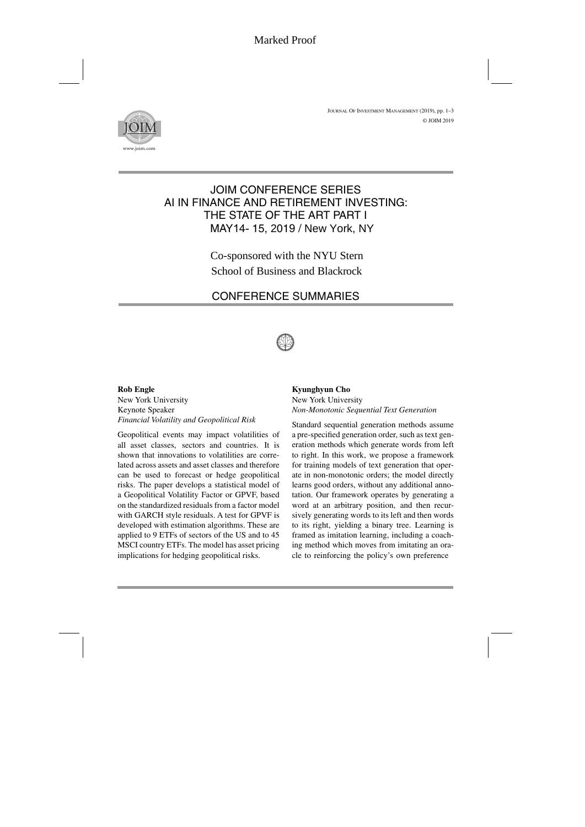

# JOIM CONFERENCE SERIES AI IN FINANCE AND RETIREMENT INVESTING: THE STATE OF THE ART PART I MAY14- 15, 2019 / New York, NY

Co-sponsored with the NYU Stern School of Business and Blackrock

# CONFERENCE SUMMARIES



### **Rob Engle**

New York University Keynote Speaker *Financial Volatility and Geopolitical Risk*

Geopolitical events may impact volatilities of all asset classes, sectors and countries. It is shown that innovations to volatilities are correlated across assets and asset classes and therefore can be used to forecast or hedge geopolitical risks. The paper develops a statistical model of a Geopolitical Volatility Factor or GPVF, based on the standardized residuals from a factor model with GARCH style residuals. A test for GPVF is developed with estimation algorithms. These are applied to 9 ETFs of sectors of the US and to 45 MSCI country ETFs. The model has asset pricing implications for hedging geopolitical risks.

### **Kyunghyun Cho** New York University *Non-Monotonic Sequential Text Generation*

Standard sequential generation methods assume a pre-specified generation order, such as text generation methods which generate words from left to right. In this work, we propose a framework for training models of text generation that operate in non-monotonic orders; the model directly learns good orders, without any additional annotation. Our framework operates by generating a word at an arbitrary position, and then recursively generating words to its left and then words to its right, yielding a binary tree. Learning is framed as imitation learning, including a coaching method which moves from imitating an oracle to reinforcing the policy's own preference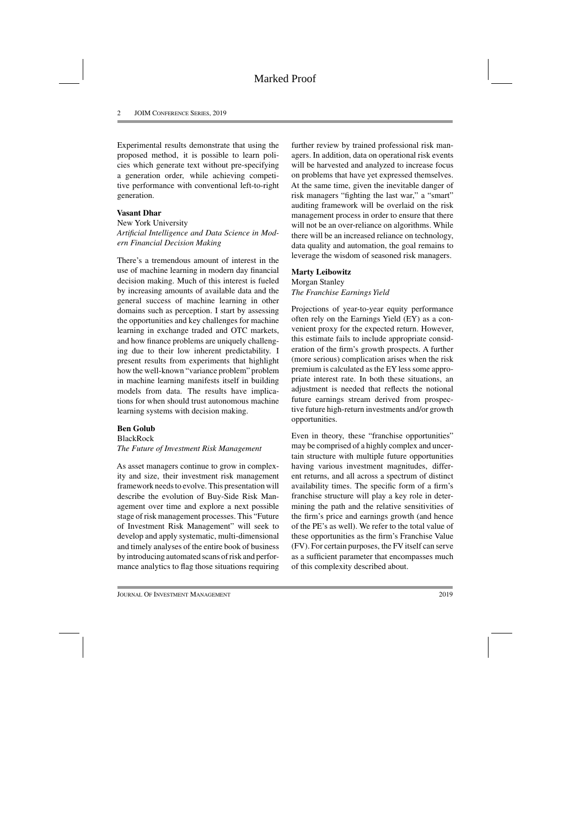Experimental results demonstrate that using the proposed method, it is possible to learn policies which generate text without pre-specifying a generation order, while achieving competitive performance with conventional left-to-right generation.

## **Vasant Dhar**

New York University *Artificial Intelligence and Data Science in Modern Financial Decision Making*

There's a tremendous amount of interest in the use of machine learning in modern day financial decision making. Much of this interest is fueled by increasing amounts of available data and the general success of machine learning in other domains such as perception. I start by assessing the opportunities and key challenges for machine learning in exchange traded and OTC markets, and how finance problems are uniquely challenging due to their low inherent predictability. I present results from experiments that highlight how the well-known "variance problem" problem in machine learning manifests itself in building models from data. The results have implications for when should trust autonomous machine learning systems with decision making.

## **Ben Golub**

### BlackRock

## *The Future of Investment Risk Management*

As asset managers continue to grow in complexity and size, their investment risk management framework needs to evolve. This presentation will describe the evolution of Buy-Side Risk Management over time and explore a next possible stage of risk management processes. This "Future of Investment Risk Management" will seek to develop and apply systematic, multi-dimensional and timely analyses of the entire book of business by introducing automated scans of risk and performance analytics to flag those situations requiring further review by trained professional risk managers. In addition, data on operational risk events will be harvested and analyzed to increase focus on problems that have yet expressed themselves. At the same time, given the inevitable danger of risk managers "fighting the last war," a "smart" auditing framework will be overlaid on the risk management process in order to ensure that there will not be an over-reliance on algorithms. While there will be an increased reliance on technology, data quality and automation, the goal remains to leverage the wisdom of seasoned risk managers.

## **Marty Leibowitz**

Morgan Stanley *The Franchise Earnings Yield*

Projections of year-to-year equity performance often rely on the Earnings Yield (EY) as a convenient proxy for the expected return. However, this estimate fails to include appropriate consideration of the firm's growth prospects. A further (more serious) complication arises when the risk premium is calculated as the EY less some appropriate interest rate. In both these situations, an adjustment is needed that reflects the notional future earnings stream derived from prospective future high-return investments and/or growth opportunities.

Even in theory, these "franchise opportunities" may be comprised of a highly complex and uncertain structure with multiple future opportunities having various investment magnitudes, different returns, and all across a spectrum of distinct availability times. The specific form of a firm's franchise structure will play a key role in determining the path and the relative sensitivities of the firm's price and earnings growth (and hence of the PE's as well). We refer to the total value of these opportunities as the firm's Franchise Value (FV). For certain purposes, the FV itself can serve as a sufficient parameter that encompasses much of this complexity described about.